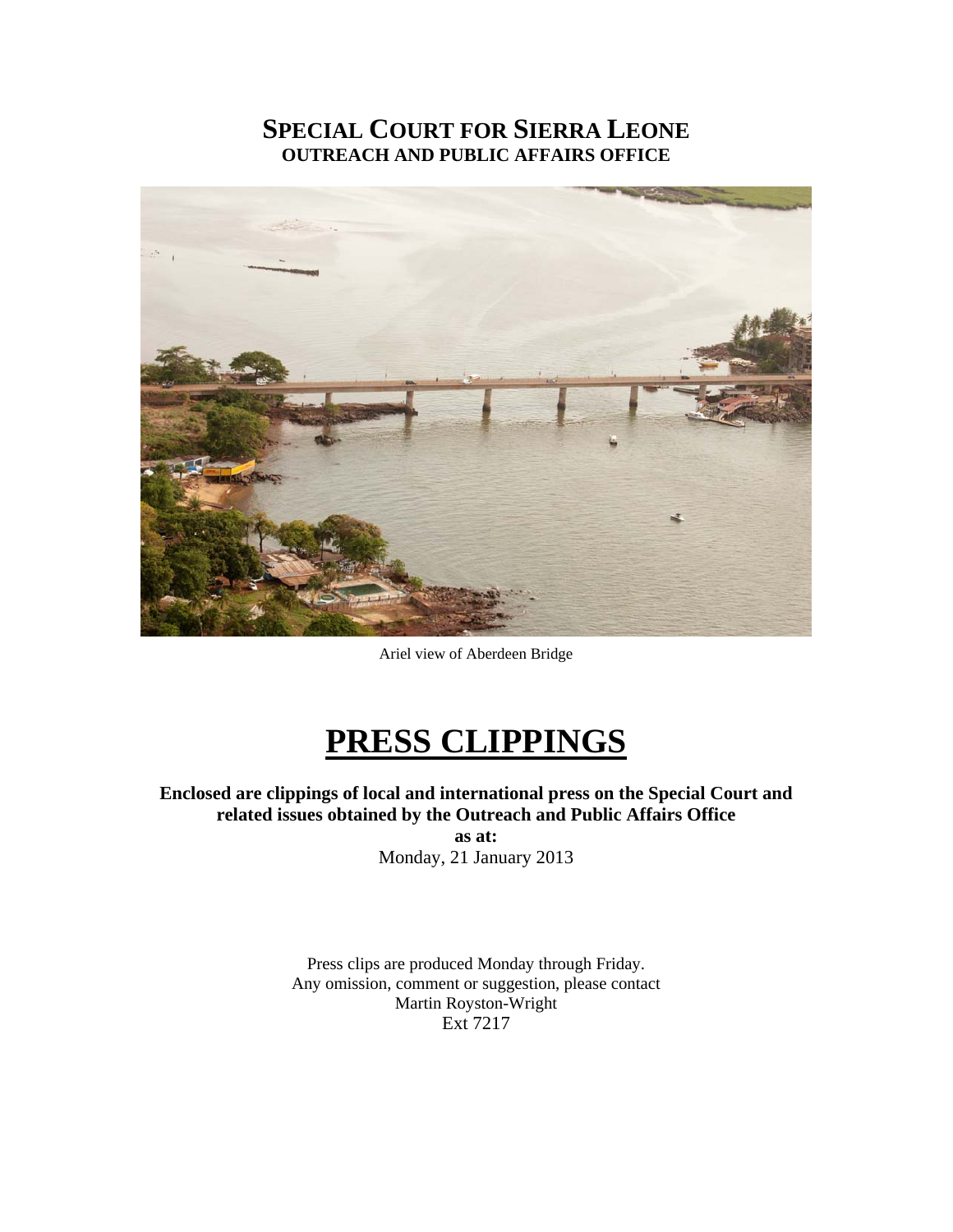### **SPECIAL COURT FOR SIERRA LEONE OUTREACH AND PUBLIC AFFAIRS OFFICE**



Ariel view of Aberdeen Bridge

## **PRESS CLIPPINGS**

**Enclosed are clippings of local and international press on the Special Court and related issues obtained by the Outreach and Public Affairs Office as at:** 

Monday, 21 January 2013

Press clips are produced Monday through Friday. Any omission, comment or suggestion, please contact Martin Royston-Wright Ext 7217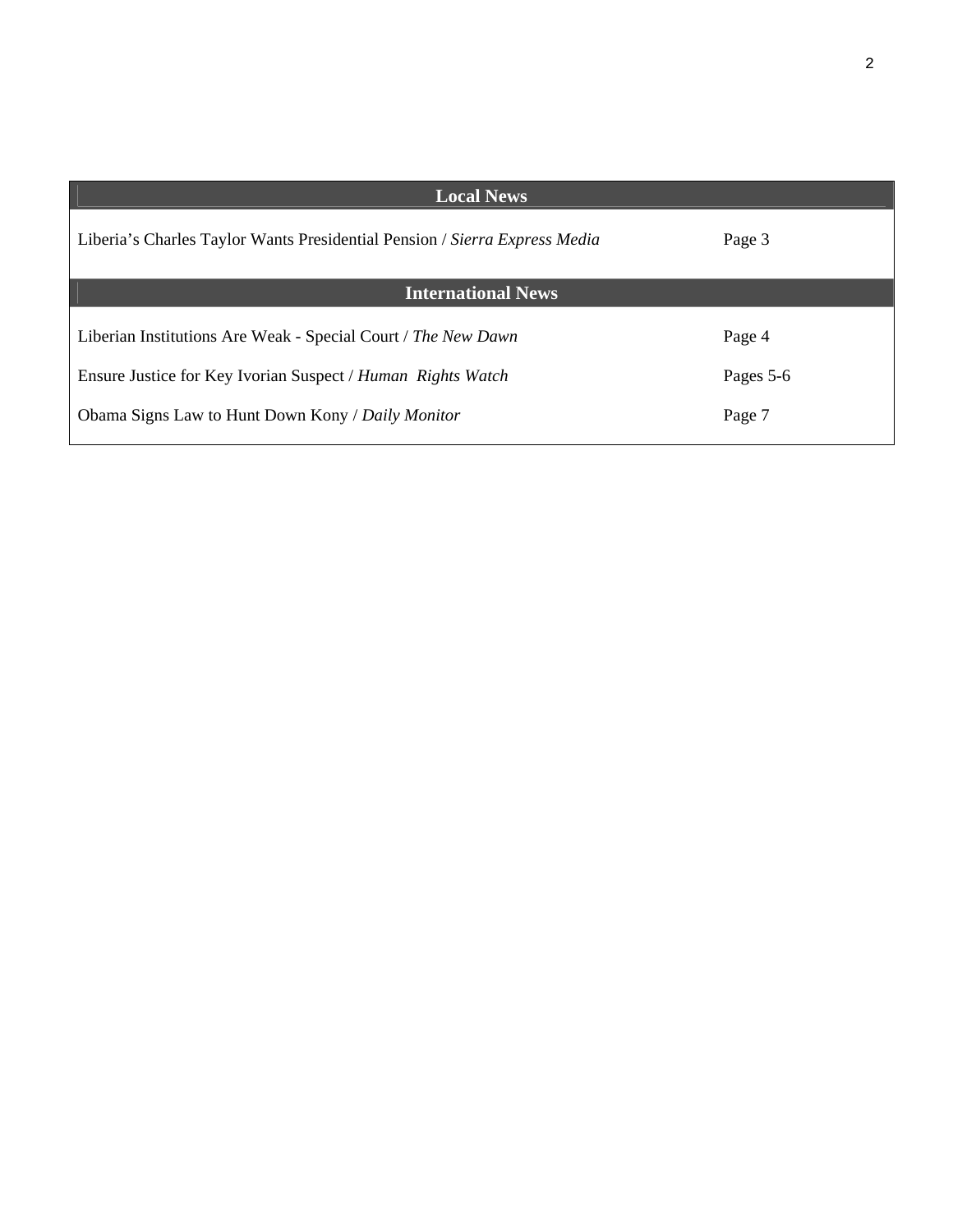| <b>Local News</b>                                                          |           |
|----------------------------------------------------------------------------|-----------|
| Liberia's Charles Taylor Wants Presidential Pension / Sierra Express Media | Page 3    |
| <b>International News</b>                                                  |           |
| Liberian Institutions Are Weak - Special Court / The New Dawn              | Page 4    |
| Ensure Justice for Key Ivorian Suspect / Human Rights Watch                | Pages 5-6 |
| Obama Signs Law to Hunt Down Kony / Daily Monitor                          | Page 7    |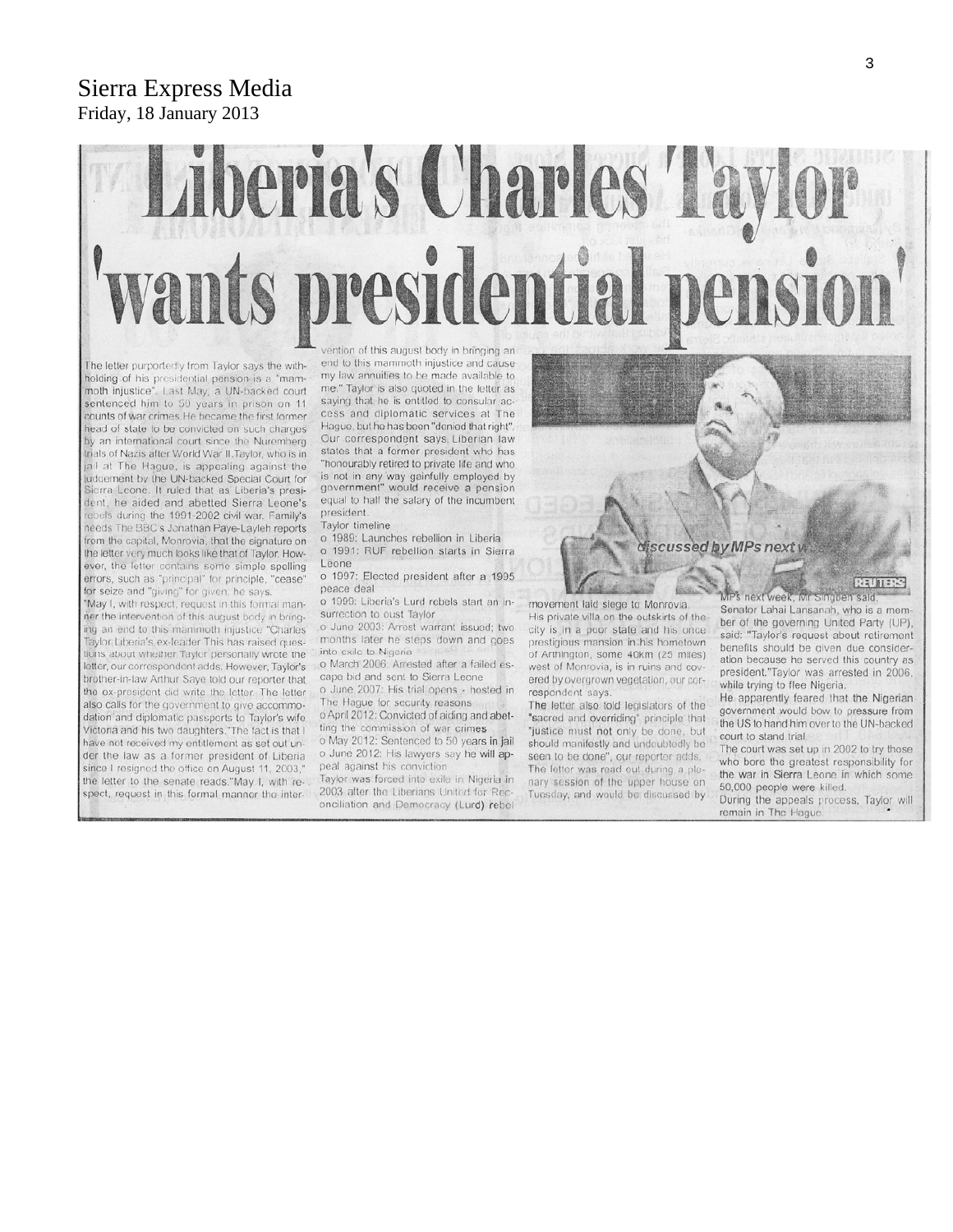#### Sierra Express Media Friday, 18 January 2013

# Liberia's Charles Tay wants presidential pensi

The letter purportedly from Taylor says the withholding of his presidential pension is a "mammoth injustice". Last May, a UN-backed court sentenced him to 50 years in prison on 11 counts of war crimes. He became the first former head of state to be convicted on such charges by an international court since the Nuremberg trials of Nazis after World War II. Taylor, who is in jail at The Hague, is appealing against the judgement by the UN-backed Special Court for Sierra Leone. It ruled that as Liberia's president, he aided and abetted Sierra Leone's rebels during the 1991-2002 civil war. Family's needs The BBC's Jonathan Paye-Layleh reports from the capital, Monrovia, that the signature on the letter very much looks like that of Taylor. However, the letter contains some simple spelling errors, such as "principal" for principle, "cease' for seize and "giving" for given, he says.

"May I, with respect, request in this formal manner the intervention of this august body in bringing an end to this mammoth injustice "Charles Taylor Liberia's ex-leader This has raised questions about whether Taylor personally wrote the letter, our correspondent adds. However, Taylor's brother-in-law Arthur Saye told our reporter that the ex-president did write the letter. The letter also calls for the government to give accommodation and diplomatic passports to Taylor's wife Victoria and his two daughters."The fact is that I have not received my entitlement as set out under the law as a former president of Liberia since I resigned the office on August 11, 2003," the letter to the senate reads."May I, with respect, request in this formal manner the inter-

vention of this august body in bringing an end to this mammoth injustice and cause my law annuities to be made available to me." Taylor is also quoted in the letter as saving that he is entitled to consular access and diplomatic services at The Haque, but he has been "denied that right". Our correspondent says Liberian law states that a former president who has "honourably retired to private life and who is not in any way gainfully employed by government" would receive a pension equal to half the salary of the incumbent president.

Taylor timeline

o 1989: Launches rebellion in Liberia

o 1991: RUF rebellion starts in Sierra Leone

o 1997: Elected president after a 1995 peace deal

o 1999: Liberia's Lurd rebels start an insurrection to oust Taylor

o June 2003: Arrest warrant issued; two months later he steps down and goes into exile to Nigeria

o March 2006: Arrested after a failed escape bid and sent to Sierra Leone

o June 2007: His trial opens - hosted in The Hague for security reasons

o April 2012: Convicted of aiding and abetting the commission of war crimes o May 2012: Sentenced to 50 years in jail

o June 2012: His lawyers say he will appeal against his conviction

Taylor was forced into exile in Nigeria in 2003 after the Liberians United for Reconciliation and Democracy (Lurd) rebel discussed by MPs next w

#### movement laid siege to Monrovia.

His private villa on the outskirts of the city is in a poor state and his once prestigious mansion in his hometown of Arthington, some 40km (25 miles) west of Monrovia, is in ruins and covered by overgrown vegetation, our correspondent says.

The letter also told legislators of the "sacred and overriding" principle that justice must not only be done, but should manifestly and undoubtedly be seen to be done", our reporter adds. The letter was read out during a plenary session of the upper house on Tuesday, and would be discussed by

MP's next week, Mr : **blee** Senator Lahai Lansanah, who is a mem-

**REUTER** 

ber of the governing United Party (UP), said: "Taylor's request about retirement benefits should be given due consideration because he served this country as president."Taylor was arrested in 2006, while trying to flee Nigeria.

He apparently feared that the Nigerian government would bow to pressure from the US to hand him over to the UN-backed court to stand trial.

The court was set up in 2002 to try those who bore the greatest responsibility for the war in Sierra Leone in which some 50,000 people were killed.

During the appeals process, Taylor will remain in The Hague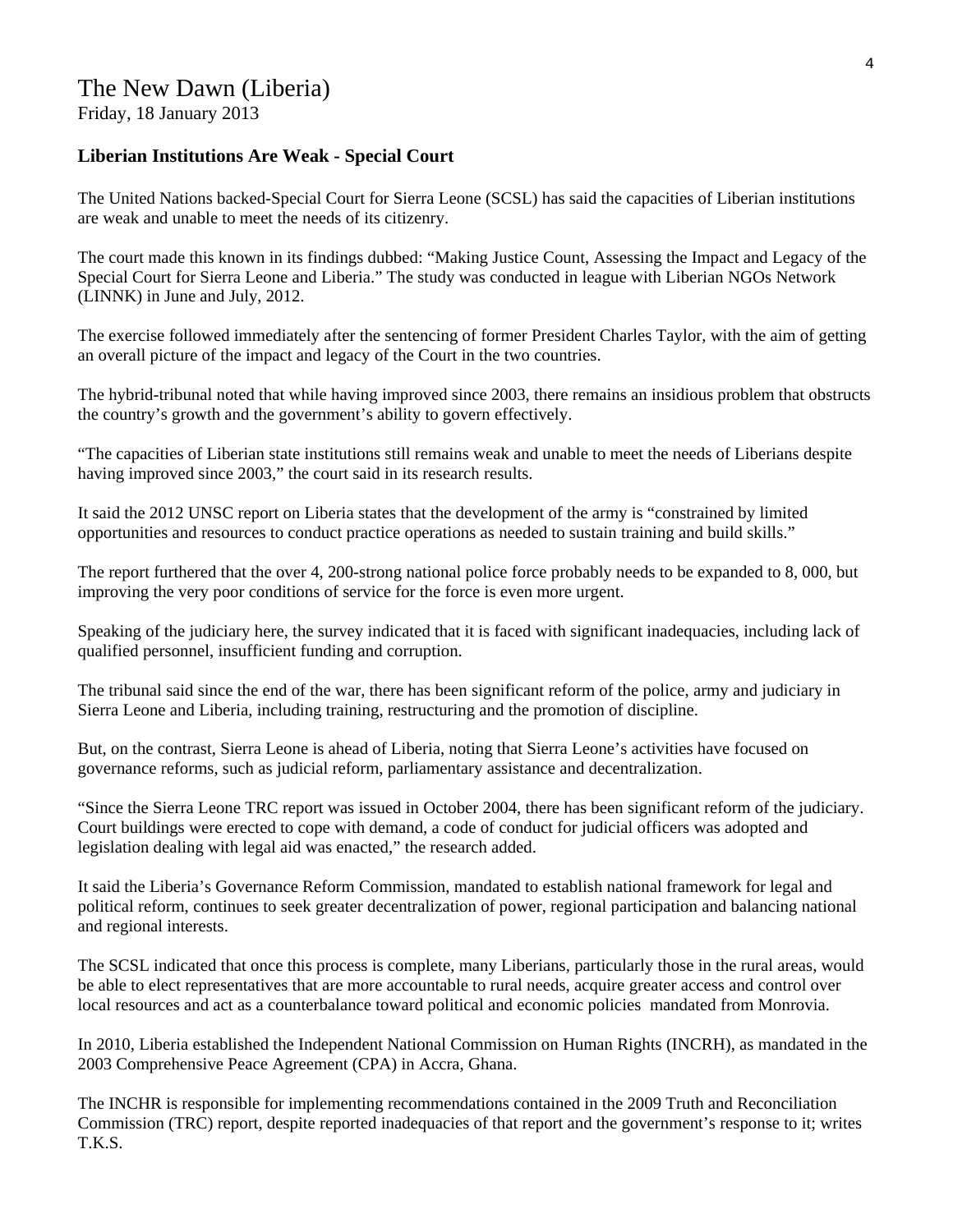Friday, 18 January 2013

#### **Liberian Institutions Are Weak - Special Court**

The United Nations backed-Special Court for Sierra Leone (SCSL) has said the capacities of Liberian institutions are weak and unable to meet the needs of its citizenry.

The court made this known in its findings dubbed: "Making Justice Count, Assessing the Impact and Legacy of the Special Court for Sierra Leone and Liberia." The study was conducted in league with Liberian NGOs Network (LINNK) in June and July, 2012.

The exercise followed immediately after the sentencing of former President Charles Taylor, with the aim of getting an overall picture of the impact and legacy of the Court in the two countries.

The hybrid-tribunal noted that while having improved since 2003, there remains an insidious problem that obstructs the country's growth and the government's ability to govern effectively.

"The capacities of Liberian state institutions still remains weak and unable to meet the needs of Liberians despite having improved since 2003," the court said in its research results.

It said the 2012 UNSC report on Liberia states that the development of the army is "constrained by limited opportunities and resources to conduct practice operations as needed to sustain training and build skills."

The report furthered that the over 4, 200-strong national police force probably needs to be expanded to 8, 000, but improving the very poor conditions of service for the force is even more urgent.

Speaking of the judiciary here, the survey indicated that it is faced with significant inadequacies, including lack of qualified personnel, insufficient funding and corruption.

The tribunal said since the end of the war, there has been significant reform of the police, army and judiciary in Sierra Leone and Liberia, including training, restructuring and the promotion of discipline.

But, on the contrast, Sierra Leone is ahead of Liberia, noting that Sierra Leone's activities have focused on governance reforms, such as judicial reform, parliamentary assistance and decentralization.

"Since the Sierra Leone TRC report was issued in October 2004, there has been significant reform of the judiciary. Court buildings were erected to cope with demand, a code of conduct for judicial officers was adopted and legislation dealing with legal aid was enacted," the research added.

It said the Liberia's Governance Reform Commission, mandated to establish national framework for legal and political reform, continues to seek greater decentralization of power, regional participation and balancing national and regional interests.

The SCSL indicated that once this process is complete, many Liberians, particularly those in the rural areas, would be able to elect representatives that are more accountable to rural needs, acquire greater access and control over local resources and act as a counterbalance toward political and economic policies mandated from Monrovia.

In 2010, Liberia established the Independent National Commission on Human Rights (INCRH), as mandated in the 2003 Comprehensive Peace Agreement (CPA) in Accra, Ghana.

The INCHR is responsible for implementing recommendations contained in the 2009 Truth and Reconciliation Commission (TRC) report, despite reported inadequacies of that report and the government's response to it; writes TKS.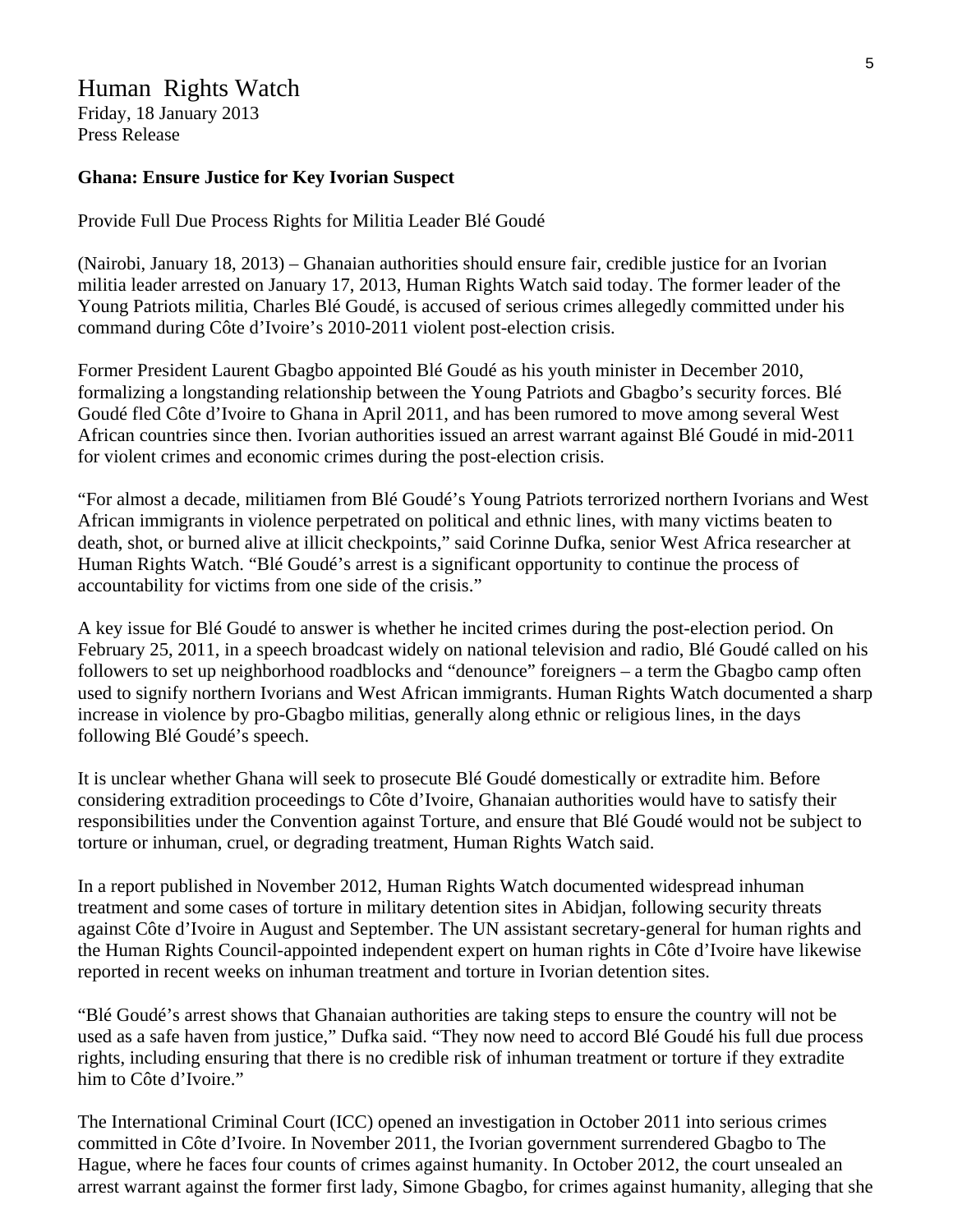#### Human Rights Watch

Friday, 18 January 2013 Press Release

#### **Ghana: Ensure Justice for Key Ivorian Suspect**

Provide Full Due Process Rights for Militia Leader Blé Goudé

(Nairobi, January 18, 2013) – Ghanaian authorities should ensure fair, credible justice for an Ivorian militia leader arrested on January 17, 2013, Human Rights Watch said today. The former leader of the Young Patriots militia, Charles Blé Goudé, is accused of serious crimes allegedly committed under his command during Côte d'Ivoire's 2010-2011 violent post-election crisis.

Former President Laurent Gbagbo appointed Blé Goudé as his youth minister in December 2010, formalizing a longstanding relationship between the Young Patriots and Gbagbo's security forces. Blé Goudé fled Côte d'Ivoire to Ghana in April 2011, and has been rumored to move among several West African countries since then. Ivorian authorities issued an arrest warrant against Blé Goudé in mid-2011 for violent crimes and economic crimes during the post-election crisis.

"For almost a decade, militiamen from Blé Goudé's Young Patriots terrorized northern Ivorians and West African immigrants in violence perpetrated on political and ethnic lines, with many victims beaten to death, shot, or burned alive at illicit checkpoints," said Corinne Dufka, senior West Africa researcher at Human Rights Watch. "Blé Goudé's arrest is a significant opportunity to continue the process of accountability for victims from one side of the crisis."

A key issue for Blé Goudé to answer is whether he incited crimes during the post-election period. On February 25, 2011, in a speech broadcast widely on national television and radio, Blé Goudé called on his followers to set up neighborhood roadblocks and "denounce" foreigners – a term the Gbagbo camp often used to signify northern Ivorians and West African immigrants. Human Rights Watch documented a sharp increase in violence by pro-Gbagbo militias, generally along ethnic or religious lines, in the days following Blé Goudé's speech.

It is unclear whether Ghana will seek to prosecute Blé Goudé domestically or extradite him. Before considering extradition proceedings to Côte d'Ivoire, Ghanaian authorities would have to satisfy their responsibilities under the Convention against Torture, and ensure that Blé Goudé would not be subject to torture or inhuman, cruel, or degrading treatment, Human Rights Watch said.

In a report published in November 2012, Human Rights Watch documented widespread inhuman treatment and some cases of torture in military detention sites in Abidjan, following security threats against Côte d'Ivoire in August and September. The UN assistant secretary-general for human rights and the Human Rights Council-appointed independent expert on human rights in Côte d'Ivoire have likewise reported in recent weeks on inhuman treatment and torture in Ivorian detention sites.

"Blé Goudé's arrest shows that Ghanaian authorities are taking steps to ensure the country will not be used as a safe haven from justice," Dufka said. "They now need to accord Blé Goudé his full due process rights, including ensuring that there is no credible risk of inhuman treatment or torture if they extradite him to Côte d'Ivoire."

The International Criminal Court (ICC) opened an investigation in October 2011 into serious crimes committed in Côte d'Ivoire. In November 2011, the Ivorian government surrendered Gbagbo to The Hague, where he faces four counts of crimes against humanity. In October 2012, the court unsealed an arrest warrant against the former first lady, Simone Gbagbo, for crimes against humanity, alleging that she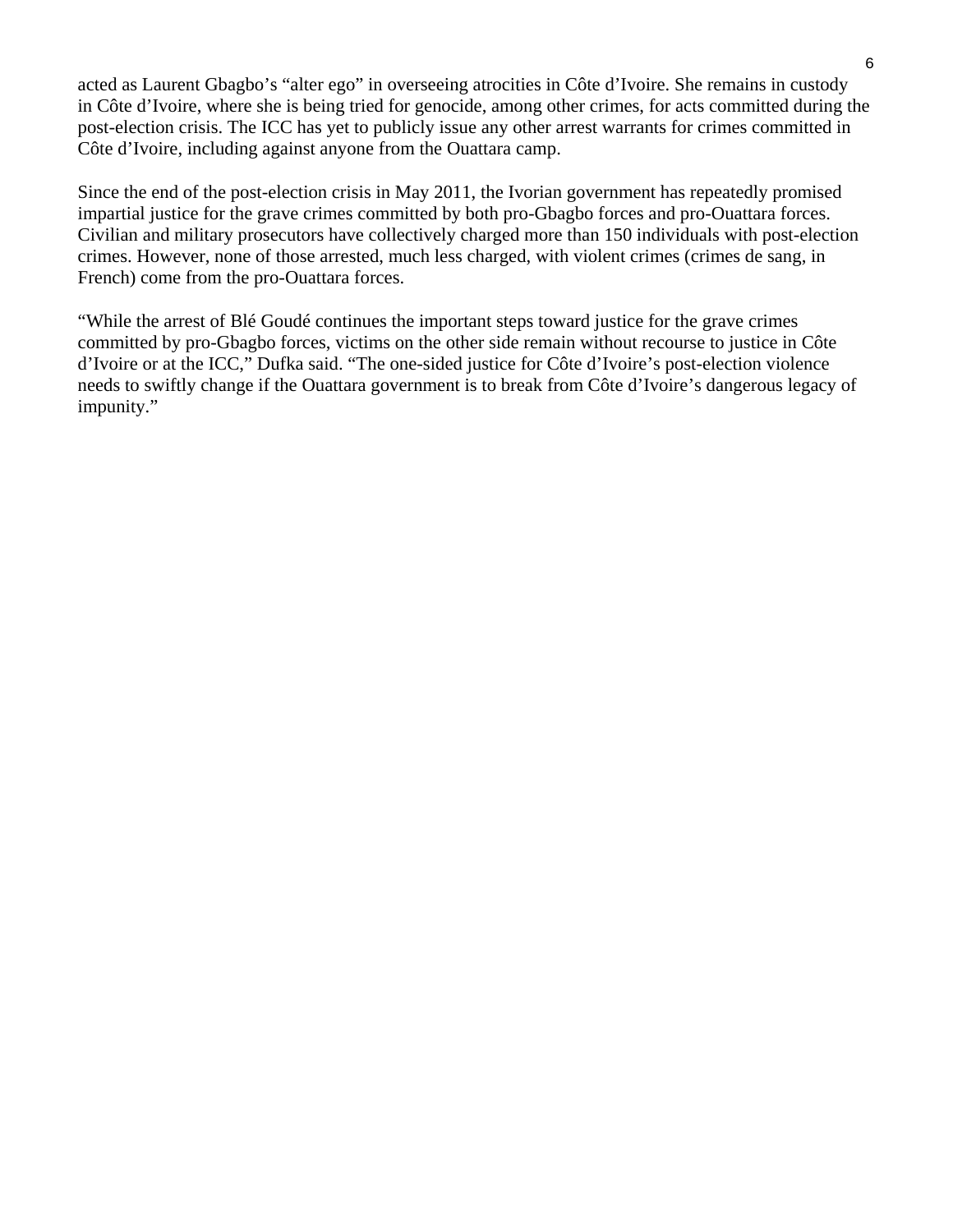acted as Laurent Gbagbo's "alter ego" in overseeing atrocities in Côte d'Ivoire. She remains in custody in Côte d'Ivoire, where she is being tried for genocide, among other crimes, for acts committed during the post-election crisis. The ICC has yet to publicly issue any other arrest warrants for crimes committed in Côte d'Ivoire, including against anyone from the Ouattara camp.

Since the end of the post-election crisis in May 2011, the Ivorian government has repeatedly promised impartial justice for the grave crimes committed by both pro-Gbagbo forces and pro-Ouattara forces. Civilian and military prosecutors have collectively charged more than 150 individuals with post-election crimes. However, none of those arrested, much less charged, with violent crimes (crimes de sang, in French) come from the pro-Ouattara forces.

"While the arrest of Blé Goudé continues the important steps toward justice for the grave crimes committed by pro-Gbagbo forces, victims on the other side remain without recourse to justice in Côte d'Ivoire or at the ICC," Dufka said. "The one-sided justice for Côte d'Ivoire's post-election violence needs to swiftly change if the Ouattara government is to break from Côte d'Ivoire's dangerous legacy of impunity."